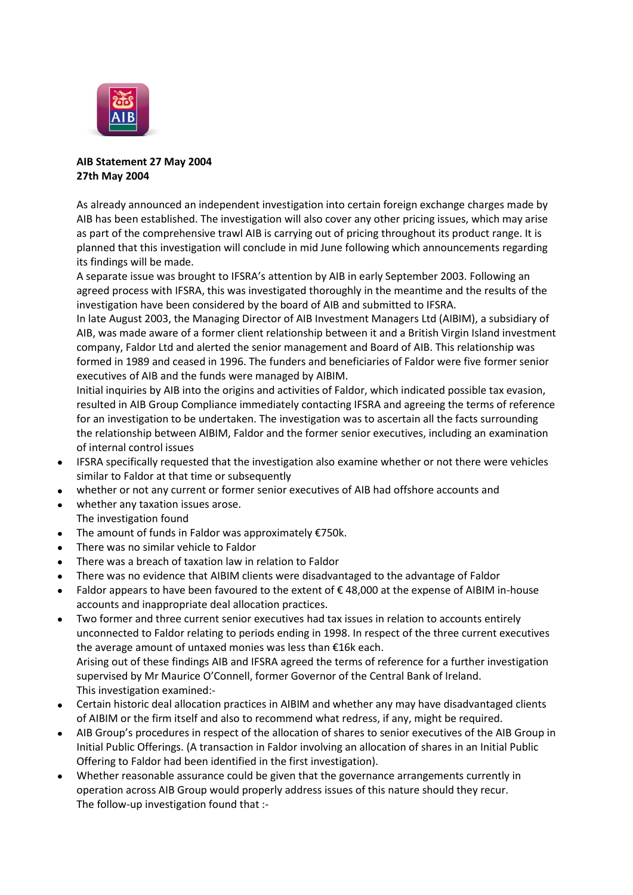

## **AIB Statement 27 May 2004 27th May 2004**

As already announced an independent investigation into certain foreign exchange charges made by AIB has been established. The investigation will also cover any other pricing issues, which may arise as part of the comprehensive trawl AIB is carrying out of pricing throughout its product range. It is planned that this investigation will conclude in mid June following which announcements regarding its findings will be made.

A separate issue was brought to IFSRA's attention by AIB in early September 2003. Following an agreed process with IFSRA, this was investigated thoroughly in the meantime and the results of the investigation have been considered by the board of AIB and submitted to IFSRA.

In late August 2003, the Managing Director of AIB Investment Managers Ltd (AIBIM), a subsidiary of AIB, was made aware of a former client relationship between it and a British Virgin Island investment company, Faldor Ltd and alerted the senior management and Board of AIB. This relationship was formed in 1989 and ceased in 1996. The funders and beneficiaries of Faldor were five former senior executives of AIB and the funds were managed by AIBIM.

Initial inquiries by AIB into the origins and activities of Faldor, which indicated possible tax evasion, resulted in AIB Group Compliance immediately contacting IFSRA and agreeing the terms of reference for an investigation to be undertaken. The investigation was to ascertain all the facts surrounding the relationship between AIBIM, Faldor and the former senior executives, including an examination of internal control issues

- IFSRA specifically requested that the investigation also examine whether or not there were vehicles similar to Faldor at that time or subsequently
- whether or not any current or former senior executives of AIB had offshore accounts and
- whether any taxation issues arose.  $\bullet$ The investigation found
- The amount of funds in Faldor was approximately €750k.
- There was no similar vehicle to Faldor
- There was a breach of taxation law in relation to Faldor
- There was no evidence that AIBIM clients were disadvantaged to the advantage of Faldor
- Faldor appears to have been favoured to the extent of  $\epsilon$  48,000 at the expense of AIBIM in-house accounts and inappropriate deal allocation practices.
- Two former and three current senior executives had tax issues in relation to accounts entirely unconnected to Faldor relating to periods ending in 1998. In respect of the three current executives the average amount of untaxed monies was less than €16k each. Arising out of these findings AIB and IFSRA agreed the terms of reference for a further investigation supervised by Mr Maurice O'Connell, former Governor of the Central Bank of Ireland. This investigation examined:-
- Certain historic deal allocation practices in AIBIM and whether any may have disadvantaged clients  $\bullet$ of AIBIM or the firm itself and also to recommend what redress, if any, might be required.
- AIB Group's procedures in respect of the allocation of shares to senior executives of the AIB Group in Initial Public Offerings. (A transaction in Faldor involving an allocation of shares in an Initial Public Offering to Faldor had been identified in the first investigation).
- Whether reasonable assurance could be given that the governance arrangements currently in operation across AIB Group would properly address issues of this nature should they recur. The follow-up investigation found that :-